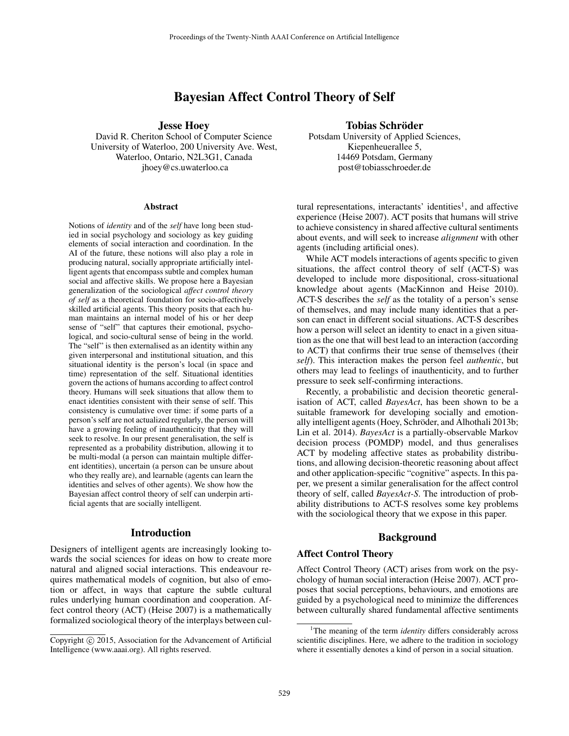# Bayesian Affect Control Theory of Self

Jesse Hoey

David R. Cheriton School of Computer Science University of Waterloo, 200 University Ave. West, Waterloo, Ontario, N2L3G1, Canada jhoey@cs.uwaterloo.ca

#### Abstract

Notions of *identity* and of the *self* have long been studied in social psychology and sociology as key guiding elements of social interaction and coordination. In the AI of the future, these notions will also play a role in producing natural, socially appropriate artificially intelligent agents that encompass subtle and complex human social and affective skills. We propose here a Bayesian generalization of the sociological *affect control theory of self* as a theoretical foundation for socio-affectively skilled artificial agents. This theory posits that each human maintains an internal model of his or her deep sense of "self" that captures their emotional, psychological, and socio-cultural sense of being in the world. The "self" is then externalised as an identity within any given interpersonal and institutional situation, and this situational identity is the person's local (in space and time) representation of the self. Situational identities govern the actions of humans according to affect control theory. Humans will seek situations that allow them to enact identities consistent with their sense of self. This consistency is cumulative over time: if some parts of a person's self are not actualized regularly, the person will have a growing feeling of inauthenticity that they will seek to resolve. In our present generalisation, the self is represented as a probability distribution, allowing it to be multi-modal (a person can maintain multiple different identities), uncertain (a person can be unsure about who they really are), and learnable (agents can learn the identities and selves of other agents). We show how the Bayesian affect control theory of self can underpin artificial agents that are socially intelligent.

### Introduction

Designers of intelligent agents are increasingly looking towards the social sciences for ideas on how to create more natural and aligned social interactions. This endeavour requires mathematical models of cognition, but also of emotion or affect, in ways that capture the subtle cultural rules underlying human coordination and cooperation. Affect control theory (ACT) (Heise 2007) is a mathematically formalized sociological theory of the interplays between cul-

### Tobias Schröder

Potsdam University of Applied Sciences, Kiepenheuerallee 5, 14469 Potsdam, Germany post@tobiasschroeder.de

tural representations, interactants' identities<sup>1</sup>, and affective experience (Heise 2007). ACT posits that humans will strive to achieve consistency in shared affective cultural sentiments about events, and will seek to increase *alignment* with other agents (including artificial ones).

While ACT models interactions of agents specific to given situations, the affect control theory of self (ACT-S) was developed to include more dispositional, cross-situational knowledge about agents (MacKinnon and Heise 2010). ACT-S describes the *self* as the totality of a person's sense of themselves, and may include many identities that a person can enact in different social situations. ACT-S describes how a person will select an identity to enact in a given situation as the one that will best lead to an interaction (according to ACT) that confirms their true sense of themselves (their *self*). This interaction makes the person feel *authentic*, but others may lead to feelings of inauthenticity, and to further pressure to seek self-confirming interactions.

Recently, a probabilistic and decision theoretic generalisation of ACT, called *BayesAct*, has been shown to be a suitable framework for developing socially and emotionally intelligent agents (Hoey, Schröder, and Alhothali 2013b; Lin et al. 2014). *BayesAct* is a partially-observable Markov decision process (POMDP) model, and thus generalises ACT by modeling affective states as probability distributions, and allowing decision-theoretic reasoning about affect and other application-specific "cognitive" aspects. In this paper, we present a similar generalisation for the affect control theory of self, called *BayesAct-S*. The introduction of probability distributions to ACT-S resolves some key problems with the sociological theory that we expose in this paper.

### Background

### Affect Control Theory

Affect Control Theory (ACT) arises from work on the psychology of human social interaction (Heise 2007). ACT proposes that social perceptions, behaviours, and emotions are guided by a psychological need to minimize the differences between culturally shared fundamental affective sentiments

Copyright © 2015, Association for the Advancement of Artificial Intelligence (www.aaai.org). All rights reserved.

<sup>&</sup>lt;sup>1</sup>The meaning of the term *identity* differs considerably across scientific disciplines. Here, we adhere to the tradition in sociology where it essentially denotes a kind of person in a social situation.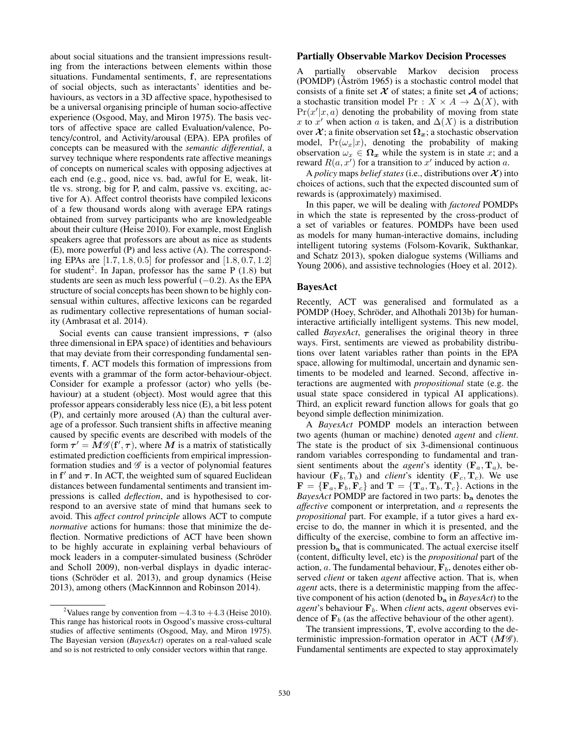about social situations and the transient impressions resulting from the interactions between elements within those situations. Fundamental sentiments, f, are representations of social objects, such as interactants' identities and behaviours, as vectors in a 3D affective space, hypothesised to be a universal organising principle of human socio-affective experience (Osgood, May, and Miron 1975). The basis vectors of affective space are called Evaluation/valence, Potency/control, and Activity/arousal (EPA). EPA profiles of concepts can be measured with the *semantic differential*, a survey technique where respondents rate affective meanings of concepts on numerical scales with opposing adjectives at each end (e.g., good, nice vs. bad, awful for E, weak, little vs. strong, big for P, and calm, passive vs. exciting, active for A). Affect control theorists have compiled lexicons of a few thousand words along with average EPA ratings obtained from survey participants who are knowledgeable about their culture (Heise 2010). For example, most English speakers agree that professors are about as nice as students (E), more powerful (P) and less active (A). The corresponding EPAs are [1.7, 1.8, 0.5] for professor and [1.8, 0.7, 1.2] for student<sup>2</sup>. In Japan, professor has the same P (1.8) but students are seen as much less powerful  $(-0.2)$ . As the EPA structure of social concepts has been shown to be highly consensual within cultures, affective lexicons can be regarded as rudimentary collective representations of human sociality (Ambrasat et al. 2014).

Social events can cause transient impressions,  $\tau$  (also three dimensional in EPA space) of identities and behaviours that may deviate from their corresponding fundamental sentiments, f. ACT models this formation of impressions from events with a grammar of the form actor-behaviour-object. Consider for example a professor (actor) who yells (behaviour) at a student (object). Most would agree that this professor appears considerably less nice (E), a bit less potent (P), and certainly more aroused (A) than the cultural average of a professor. Such transient shifts in affective meaning caused by specific events are described with models of the form  $\tau' = \tilde{M} \mathscr{G}(\mathbf{f}', \tau)$ , where  $M$  is a matrix of statistically estimated prediction coefficients from empirical impressionformation studies and  $\mathscr G$  is a vector of polynomial features in  $f'$  and  $\tau$ . In ACT, the weighted sum of squared Euclidean distances between fundamental sentiments and transient impressions is called *deflection*, and is hypothesised to correspond to an aversive state of mind that humans seek to avoid. This *affect control principle* allows ACT to compute *normative* actions for humans: those that minimize the deflection. Normative predictions of ACT have been shown to be highly accurate in explaining verbal behaviours of mock leaders in a computer-simulated business (Schröder and Scholl 2009), non-verbal displays in dyadic interactions (Schröder et al. 2013), and group dynamics (Heise 2013), among others (MacKinnnon and Robinson 2014).

#### Partially Observable Markov Decision Processes

A partially observable Markov decision process  $(POMDP)$  (Åström 1965) is a stochastic control model that consists of a finite set  $X$  of states; a finite set  $A$  of actions; a stochastic transition model Pr :  $X \times A \rightarrow \Delta(X)$ , with  $Pr(x'|x, a)$  denoting the probability of moving from state x to x' when action a is taken, and  $\Delta(X)$  is a distribution over  $\mathcal{X}$ ; a finite observation set  $\Omega_x$ ; a stochastic observation model,  $Pr(\omega_x|x)$ , denoting the probability of making observation  $\omega_x \in \Omega_x$  while the system is in state x; and a reward  $R(a, x')$  for a transition to x' induced by action a.

A *policy* maps *belief states* (i.e., distributions over  $\mathcal{X}$ ) into choices of actions, such that the expected discounted sum of rewards is (approximately) maximised.

In this paper, we will be dealing with *factored* POMDPs in which the state is represented by the cross-product of a set of variables or features. POMDPs have been used as models for many human-interactive domains, including intelligent tutoring systems (Folsom-Kovarik, Sukthankar, and Schatz 2013), spoken dialogue systems (Williams and Young 2006), and assistive technologies (Hoey et al. 2012).

### BayesAct

Recently, ACT was generalised and formulated as a POMDP (Hoey, Schröder, and Alhothali 2013b) for humaninteractive artificially intelligent systems. This new model, called *BayesAct*, generalises the original theory in three ways. First, sentiments are viewed as probability distributions over latent variables rather than points in the EPA space, allowing for multimodal, uncertain and dynamic sentiments to be modeled and learned. Second, affective interactions are augmented with *propositional* state (e.g. the usual state space considered in typical AI applications). Third, an explicit reward function allows for goals that go beyond simple deflection minimization.

A *BayesAct* POMDP models an interaction between two agents (human or machine) denoted *agent* and *client*. The state is the product of six 3-dimensional continuous random variables corresponding to fundamental and transient sentiments about the *agent*'s identity ( $\mathbf{F}_a$ ,  $\mathbf{T}_a$ ), behaviour  $(\mathbf{F}_b, \mathbf{T}_b)$  and *client*'s identity  $(\mathbf{F}_c, \mathbf{T}_c)$ . We use  $\mathbf{F} = {\mathbf{F}_a, \mathbf{F}_b, \mathbf{F}_c}$  and  $\mathbf{T} = {\mathbf{T}_a, \mathbf{T}_b, \mathbf{T}_c}$ . Actions in the *BayesAct* POMDP are factored in two parts: b<sup>a</sup> denotes the *affective* component or interpretation, and a represents the *propositional* part. For example, if a tutor gives a hard exercise to do, the manner in which it is presented, and the difficulty of the exercise, combine to form an affective impression b<sup>a</sup> that is communicated. The actual exercise itself (content, difficulty level, etc) is the *propositional* part of the action, a. The fundamental behaviour,  $F_b$ , denotes either observed *client* or taken *agent* affective action. That is, when *agent* acts, there is a deterministic mapping from the affective component of his action (denoted b<sup>a</sup> in *BayesAct*) to the *agent*'s behaviour  $\mathbf{F}_b$ . When *client* acts, *agent* observes evidence of  $F_b$  (as the affective behaviour of the other agent).

The transient impressions, T, evolve according to the deterministic impression-formation operator in ACT  $(M\mathscr{G})$ . Fundamental sentiments are expected to stay approximately

<sup>&</sup>lt;sup>2</sup>Values range by convention from  $-4.3$  to  $+4.3$  (Heise 2010). This range has historical roots in Osgood's massive cross-cultural studies of affective sentiments (Osgood, May, and Miron 1975). The Bayesian version (*BayesAct*) operates on a real-valued scale and so is not restricted to only consider vectors within that range.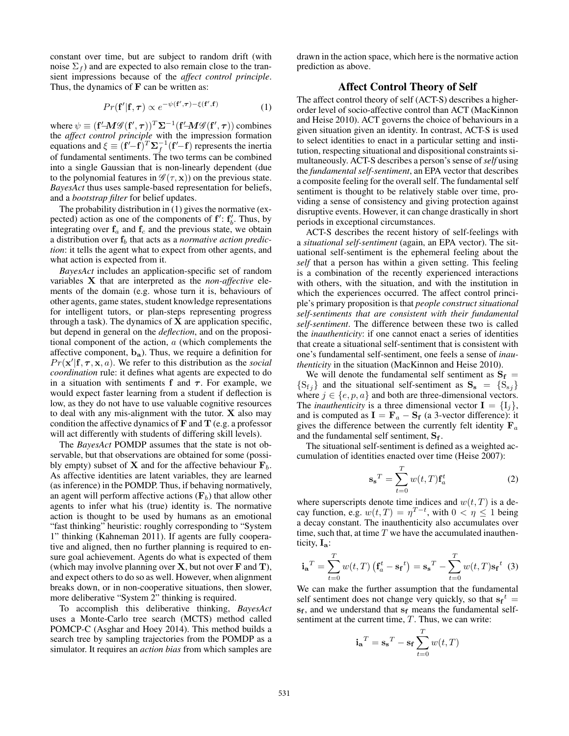constant over time, but are subject to random drift (with noise  $\Sigma_f$ ) and are expected to also remain close to the transient impressions because of the *affect control principle*. Thus, the dynamics of  $\bf{F}$  can be written as:

$$
Pr(\mathbf{f'}|\mathbf{f}, \boldsymbol{\tau}) \propto e^{-\psi(\mathbf{f'}, \boldsymbol{\tau}) - \xi(\mathbf{f'}, \mathbf{f})}
$$
 (1)

where  $\psi \equiv (\mathbf{f}'\!-\!\!\mathbf{M}\mathscr{G}(\mathbf{f}',\boldsymbol{\tau}))^T\mathbf{\Sigma}^{-1}(\mathbf{f}'\!-\!\!\mathbf{M}\mathscr{G}(\mathbf{f}',\boldsymbol{\tau}))$  combines the *affect control principle* with the impression formation equations and  $\xi \equiv (\mathbf{f}' - \mathbf{f})^T \Sigma_f^{-1} (\mathbf{f}' - \mathbf{f})$  represents the inertia of fundamental sentiments. The two terms can be combined into a single Gaussian that is non-linearly dependent (due to the polynomial features in  $\mathscr{G}(\tau, \mathbf{x})$  on the previous state. *BayesAct* thus uses sample-based representation for beliefs, and a *bootstrap filter* for belief updates.

The probability distribution in (1) gives the normative (expected) action as one of the components of  $f'$ :  $f'_{b}$ . Thus, by integrating over  $f_a$  and  $f_c$  and the previous state, we obtain a distribution over  $f_b$  that acts as a *normative action prediction*: it tells the agent what to expect from other agents, and what action is expected from it.

*BayesAct* includes an application-specific set of random variables X that are interpreted as the *non-affective* elements of the domain (e.g. whose turn it is, behaviours of other agents, game states, student knowledge representations for intelligent tutors, or plan-steps representing progress through a task). The dynamics of  $X$  are application specific, but depend in general on the *deflection*, and on the propositional component of the action, a (which complements the affective component,  $b_a$ ). Thus, we require a definition for  $Pr(\mathbf{x}' | \mathbf{f}, \boldsymbol{\tau}, \mathbf{x}, a)$ . We refer to this distribution as the *social coordination* rule: it defines what agents are expected to do in a situation with sentiments f and  $\tau$ . For example, we would expect faster learning from a student if deflection is low, as they do not have to use valuable cognitive resources to deal with any mis-alignment with the tutor. X also may condition the affective dynamics of  $\bf{F}$  and  $\bf{T}$  (e.g. a professor will act differently with students of differing skill levels).

The *BayesAct* POMDP assumes that the state is not observable, but that observations are obtained for some (possibly empty) subset of **X** and for the affective behaviour  $\mathbf{F}_b$ . As affective identities are latent variables, they are learned (as inference) in the POMDP. Thus, if behaving normatively, an agent will perform affective actions  $(\mathbf{F}_b)$  that allow other agents to infer what his (true) identity is. The normative action is thought to be used by humans as an emotional "fast thinking" heuristic: roughly corresponding to "System 1" thinking (Kahneman 2011). If agents are fully cooperative and aligned, then no further planning is required to ensure goal achievement. Agents do what is expected of them (which may involve planning over  $X$ , but not over  $F$  and  $T$ ), and expect others to do so as well. However, when alignment breaks down, or in non-cooperative situations, then slower, more deliberative "System 2" thinking is required.

To accomplish this deliberative thinking, *BayesAct* uses a Monte-Carlo tree search (MCTS) method called POMCP-C (Asghar and Hoey 2014). This method builds a search tree by sampling trajectories from the POMDP as a simulator. It requires an *action bias* from which samples are

drawn in the action space, which here is the normative action prediction as above.

## Affect Control Theory of Self

The affect control theory of self (ACT-S) describes a higherorder level of socio-affective control than ACT (MacKinnon and Heise 2010). ACT governs the choice of behaviours in a given situation given an identity. In contrast, ACT-S is used to select identities to enact in a particular setting and institution, respecting situational and dispositional constraints simultaneously. ACT-S describes a person's sense of*self* using the *fundamental self-sentiment*, an EPA vector that describes a composite feeling for the overall self. The fundamental self sentiment is thought to be relatively stable over time, providing a sense of consistency and giving protection against disruptive events. However, it can change drastically in short periods in exceptional circumstances.

ACT-S describes the recent history of self-feelings with a *situational self-sentiment* (again, an EPA vector). The situational self-sentiment is the ephemeral feeling about the *self* that a person has within a given setting. This feeling is a combination of the recently experienced interactions with others, with the situation, and with the institution in which the experiences occurred. The affect control principle's primary proposition is that *people construct situational self-sentiments that are consistent with their fundamental self-sentiment*. The difference between these two is called the *inauthenticity*: if one cannot enact a series of identities that create a situational self-sentiment that is consistent with one's fundamental self-sentiment, one feels a sense of *inauthenticity* in the situation (MacKinnon and Heise 2010).

We will denote the fundamental self sentiment as  $S_f$  =  ${S_{fj}}$  and the situational self-sentiment as  $S_s = {S_{sj}}$ where  $j \in \{e, p, a\}$  and both are three-dimensional vectors. The *inauthenticity* is a three dimensional vector  $I = \{I_i\},\$ and is computed as  $I = F_a - S_f$  (a 3-vector difference): it gives the difference between the currently felt identity  $\mathbf{F}_a$ and the fundamental self sentiment,  $S_f$ .

The situational self-sentiment is defined as a weighted accumulation of identities enacted over time (Heise 2007):

$$
\mathbf{s_s}^T = \sum_{t=0}^T w(t,T) \mathbf{f}_a^t \tag{2}
$$

where superscripts denote time indices and  $w(t, T)$  is a decay function, e.g.  $w(t,T) = \eta^{T-t}$ , with  $0 < \eta \le 1$  being a decay constant. The inauthenticity also accumulates over time, such that, at time  $T$  we have the accumulated inauthenticity,  $I_a$ :

$$
\mathbf{i_a}^T = \sum_{t=0}^T w(t,T) \left( \mathbf{f}_a^t - \mathbf{s_f}^t \right) = \mathbf{s_s}^T - \sum_{t=0}^T w(t,T) \mathbf{s_f}^t \tag{3}
$$

We can make the further assumption that the fundamental self sentiment does not change very quickly, so that  $s_f{}^t$  = s<sub>f</sub>, and we understand that s<sub>f</sub> means the fundamental selfsentiment at the current time,  $T$ . Thus, we can write:

$$
\mathbf{i_a}^T = \mathbf{s_s}^T - \mathbf{s_f} \sum_{t=0}^T w(t,T)
$$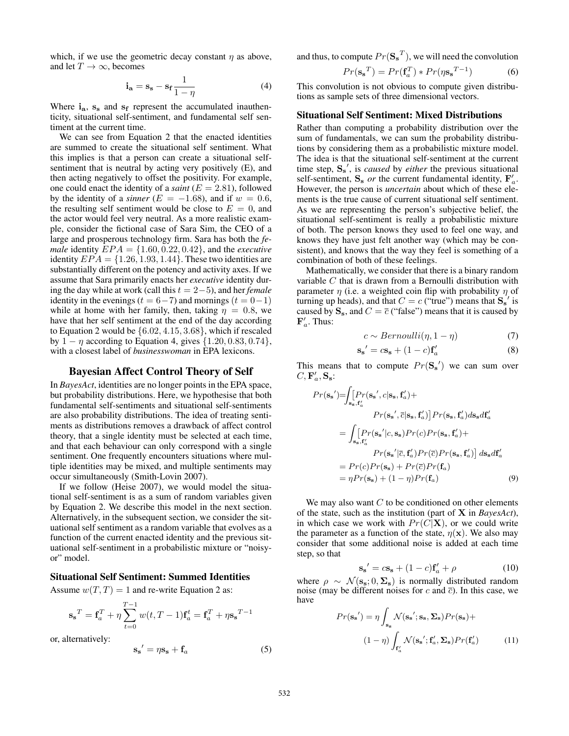which, if we use the geometric decay constant  $\eta$  as above, and let  $T \to \infty$ , becomes

$$
\mathbf{i}_{\mathbf{a}} = \mathbf{s}_{\mathbf{s}} - \mathbf{s}_{\mathbf{f}} \frac{1}{1 - \eta} \tag{4}
$$

Where  $i_a$ ,  $s_s$  and  $s_f$  represent the accumulated inauthenticity, situational self-sentiment, and fundamental self sentiment at the current time.

We can see from Equation 2 that the enacted identities are summed to create the situational self sentiment. What this implies is that a person can create a situational selfsentiment that is neutral by acting very positively (E), and then acting negatively to offset the positivity. For example, one could enact the identity of a *saint* ( $E = 2.81$ ), followed by the identity of a *sinner* ( $E = -1.68$ ), and if  $w = 0.6$ , the resulting self sentiment would be close to  $E = 0$ , and the actor would feel very neutral. As a more realistic example, consider the fictional case of Sara Sim, the CEO of a large and prosperous technology firm. Sara has both the *female* identity  $EPA = \{1.60, 0.22, 0.42\}$ , and the *executive* identity  $EPA = \{1.26, 1.93, 1.44\}$ . These two identities are substantially different on the potency and activity axes. If we assume that Sara primarily enacts her *executive* identity during the day while at work (call this t = 2−5), and her *female* identity in the evenings ( $t = 6-7$ ) and mornings ( $t = 0-1$ ) while at home with her family, then, taking  $\eta = 0.8$ , we have that her self sentiment at the end of the day according to Equation 2 would be {6.02, 4.15, 3.68}, which if rescaled by  $1 - \eta$  according to Equation 4, gives  $\{1.20, 0.83, 0.74\}$ , with a closest label of *businesswoman* in EPA lexicons.

### Bayesian Affect Control Theory of Self

In *BayesAct*, identities are no longer points in the EPA space, but probability distributions. Here, we hypothesise that both fundamental self-sentiments and situational self-sentiments are also probability distributions. The idea of treating sentiments as distributions removes a drawback of affect control theory, that a single identity must be selected at each time, and that each behaviour can only correspond with a single sentiment. One frequently encounters situations where multiple identities may be mixed, and multiple sentiments may occur simultaneously (Smith-Lovin 2007).

If we follow (Heise 2007), we would model the situational self-sentiment is as a sum of random variables given by Equation 2. We describe this model in the next section. Alternatively, in the subsequent section, we consider the situational self sentiment as a random variable that evolves as a function of the current enacted identity and the previous situational self-sentiment in a probabilistic mixture or "noisyor" model.

### Situational Self Sentiment: Summed Identities

Assume  $w(T, T) = 1$  and re-write Equation 2 as:

 $\sim$ 

$$
\mathbf{s_s}^T = \mathbf{f}_a^T + \eta \sum_{t=0}^{T-1} w(t,T-1) \mathbf{f}_a^t = \mathbf{f}_a^T + \eta \mathbf{s_s}^{T-1}
$$

or, alternatively:

$$
\mathbf{s_s}' = \eta \mathbf{s_s} + \mathbf{f}_a \tag{5}
$$

and thus, to compute  $Pr(\mathbf{S_s}^T)$ , we will need the convolution

$$
Pr(\mathbf{s_s}^T) = Pr(\mathbf{f}_a^T) * Pr(\eta \mathbf{s_s}^{T-1})
$$
 (6)

This convolution is not obvious to compute given distributions as sample sets of three dimensional vectors.

#### Situational Self Sentiment: Mixed Distributions

Rather than computing a probability distribution over the sum of fundamentals, we can sum the probability distributions by considering them as a probabilistic mixture model. The idea is that the situational self-sentiment at the current time step,  $S_s'$ , is *caused* by *either* the previous situational self-sentiment,  $S_s$  *or* the current fundamental identity,  $F'_a$ . However, the person is *uncertain* about which of these elements is the true cause of current situational self sentiment. As we are representing the person's subjective belief, the situational self-sentiment is really a probabilistic mixture of both. The person knows they used to feel one way, and knows they have just felt another way (which may be consistent), and knows that the way they feel is something of a combination of both of these feelings.

Mathematically, we consider that there is a binary random variable  $C$  that is drawn from a Bernoulli distribution with parameter  $\eta$  (i.e. a weighted coin flip with probability  $\eta$  of turning up heads), and that  $C = c$  ("true") means that  $S_s'$  is caused by  $S_s$ , and  $C = \overline{c}$  ("false") means that it is caused by  ${\bf F}_a'$ . Thus:

$$
c \sim Bernoulli(\eta, 1 - \eta) \tag{7}
$$

$$
\mathbf{s_s}' = c\mathbf{s_s} + (1 - c)\mathbf{f}_a' \tag{8}
$$

This means that to compute  $Pr(S_{s}^{\prime})$  we can sum over  $C, \mathbf{F}_a', \mathbf{S}_s$ :

$$
Pr(\mathbf{s_s}') = \int_{\mathbf{s_s}, \mathbf{f'_a}} [Pr(\mathbf{s_s}', c | \mathbf{s_s}, \mathbf{f'_a}) +
$$
  
\n
$$
Pr(\mathbf{s_s}', \bar{c} | \mathbf{s_s}, \mathbf{f'_a})] Pr(\mathbf{s_s}, \mathbf{f'_a}) d\mathbf{s_s} d\mathbf{f'_a}
$$
  
\n
$$
= \int_{\mathbf{s_s}, \mathbf{f'_a}} [Pr(\mathbf{s_s}' | c, \mathbf{s_s}) Pr(c) Pr(\mathbf{s_s}, \mathbf{f'_a}) +
$$
  
\n
$$
Pr(\mathbf{s_s}' | \bar{c}, \mathbf{f'_a}) Pr(\bar{c}) Pr(\mathbf{s_s}, \mathbf{f'_a})] d\mathbf{s_s} d\mathbf{f'_a}
$$
  
\n
$$
= Pr(c) Pr(\mathbf{s_s}) + Pr(\bar{c}) Pr(\mathbf{f_a})
$$
  
\n
$$
= \eta Pr(\mathbf{s_s}) + (1 - \eta) Pr(\mathbf{f_a})
$$
 (9)

We may also want  $C$  to be conditioned on other elements of the state, such as the institution (part of X in *BayesAct*), in which case we work with  $Pr(C|\mathbf{X})$ , or we could write the parameter as a function of the state,  $\eta(\mathbf{x})$ . We also may consider that some additional noise is added at each time step, so that

$$
\mathbf{s_s}' = c\mathbf{s_s} + (1 - c)\mathbf{f}_a' + \rho \tag{10}
$$

where  $\rho \sim \mathcal{N}(\mathbf{s}_s; 0, \Sigma_s)$  is normally distributed random noise (may be different noises for c and  $\bar{c}$ ). In this case, we have

$$
Pr(\mathbf{s_s}') = \eta \int_{\mathbf{s_s}} \mathcal{N}(\mathbf{s_s}'; \mathbf{s_s}, \Sigma_{\mathbf{s}}) Pr(\mathbf{s_s}) +
$$

$$
(1 - \eta) \int_{\mathbf{f'_a}} \mathcal{N}(\mathbf{s_s}'; \mathbf{f'_a}, \Sigma_{\mathbf{s}}) Pr(\mathbf{f'_a}) \tag{11}
$$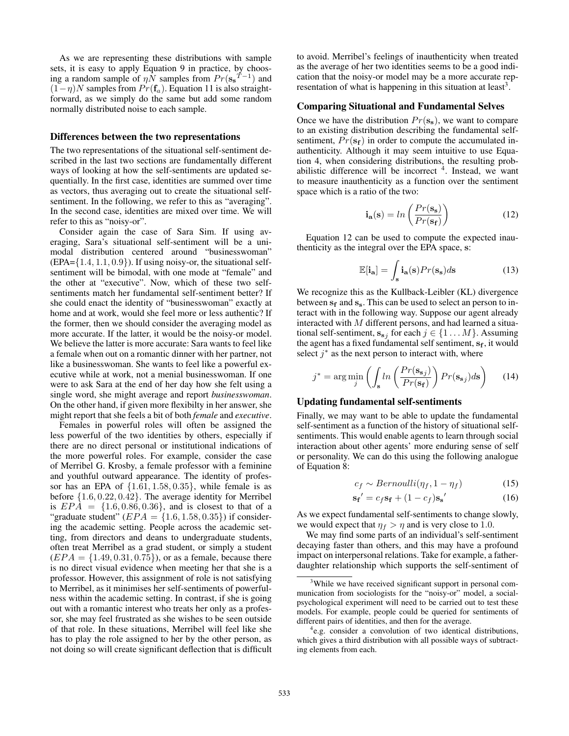As we are representing these distributions with sample sets, it is easy to apply Equation 9 in practice, by choosing a random sample of  $\eta N$  samples from  $Pr(s_{s}^{T-1})$  and  $(1-\eta)N$  samples from  $Pr(f_a)$ . Equation 11 is also straightforward, as we simply do the same but add some random normally distributed noise to each sample.

### Differences between the two representations

The two representations of the situational self-sentiment described in the last two sections are fundamentally different ways of looking at how the self-sentiments are updated sequentially. In the first case, identities are summed over time as vectors, thus averaging out to create the situational selfsentiment. In the following, we refer to this as "averaging". In the second case, identities are mixed over time. We will refer to this as "noisy-or".

Consider again the case of Sara Sim. If using averaging, Sara's situational self-sentiment will be a unimodal distribution centered around "businesswoman"  $(EPA=\{1.4, 1.1, 0.9\})$ . If using noisy-or, the situational selfsentiment will be bimodal, with one mode at "female" and the other at "executive". Now, which of these two selfsentiments match her fundamental self-sentiment better? If she could enact the identity of "businesswoman" exactly at home and at work, would she feel more or less authentic? If the former, then we should consider the averaging model as more accurate. If the latter, it would be the noisy-or model. We believe the latter is more accurate: Sara wants to feel like a female when out on a romantic dinner with her partner, not like a businesswoman. She wants to feel like a powerful executive while at work, not a menial businesswoman. If one were to ask Sara at the end of her day how she felt using a single word, she might average and report *businesswoman*. On the other hand, if given more flexibilty in her answer, she might report that she feels a bit of both *female* and *executive*.

Females in powerful roles will often be assigned the less powerful of the two identities by others, especially if there are no direct personal or institutional indications of the more powerful roles. For example, consider the case of Merribel G. Krosby, a female professor with a feminine and youthful outward appearance. The identity of professor has an EPA of  $\{1.61, 1.58, 0.35\}$ , while female is as before {1.6, 0.22, 0.42}. The average identity for Merribel is  $EPA = \{1.6, 0.86, 0.36\}$ , and is closest to that of a "graduate student"  $(EPA = \{1.6, 1.58, 0.35\})$  if considering the academic setting. People across the academic setting, from directors and deans to undergraduate students, often treat Merribel as a grad student, or simply a student  $(EPA = \{1.49, 0.31, 0.75\})$ , or as a female, because there is no direct visual evidence when meeting her that she is a professor. However, this assignment of role is not satisfying to Merribel, as it minimises her self-sentiments of powerfulness within the academic setting. In contrast, if she is going out with a romantic interest who treats her only as a professor, she may feel frustrated as she wishes to be seen outside of that role. In these situations, Merribel will feel like she has to play the role assigned to her by the other person, as not doing so will create significant deflection that is difficult

to avoid. Merribel's feelings of inauthenticity when treated as the average of her two identities seems to be a good indication that the noisy-or model may be a more accurate representation of what is happening in this situation at least<sup>3</sup>.

### Comparing Situational and Fundamental Selves

Once we have the distribution  $Pr(s_s)$ , we want to compare to an existing distribution describing the fundamental selfsentiment,  $Pr(s_f)$  in order to compute the accumulated inauthenticity. Although it may seem intuitive to use Equation 4, when considering distributions, the resulting probabilistic difference will be incorrect  $4$ . Instead, we want to measure inauthenticity as a function over the sentiment space which is a ratio of the two:

$$
\mathbf{i}_{\mathbf{a}}(\mathbf{s}) = \ln\left(\frac{Pr(\mathbf{s}_{\mathbf{s}})}{Pr(\mathbf{s}_{\mathbf{f}})}\right) \tag{12}
$$

Equation 12 can be used to compute the expected inauthenticity as the integral over the EPA space, s:

$$
\mathbb{E}[\mathbf{i}_\mathbf{a}] = \int_{\mathbf{s}} \mathbf{i}_\mathbf{a}(\mathbf{s}) Pr(\mathbf{s}_\mathbf{s}) d\mathbf{s}
$$
 (13)

We recognize this as the Kullback-Leibler (KL) divergence between  $s_f$  and  $s_s$ . This can be used to select an person to interact with in the following way. Suppose our agent already interacted with M different persons, and had learned a situational self-sentiment,  $\mathbf{s}_{\mathbf{s}j}$  for each  $j \in \{1 \dots M\}$ . Assuming the agent has a fixed fundamental self sentiment,  $s_f$ , it would select  $j^*$  as the next person to interact with, where

$$
j^* = \arg\min_j \left( \int_{\mathbf{s}} ln\left(\frac{Pr(\mathbf{s}_{\mathbf{s}j})}{Pr(\mathbf{s}_{\mathbf{f}})}\right) Pr(\mathbf{s}_{\mathbf{s}j}) d\mathbf{s} \right) \tag{14}
$$

#### Updating fundamental self-sentiments

Finally, we may want to be able to update the fundamental self-sentiment as a function of the history of situational selfsentiments. This would enable agents to learn through social interaction about other agents' more enduring sense of self or personality. We can do this using the following analogue of Equation 8:

$$
c_f \sim Bernoulli(\eta_f, 1 - \eta_f) \tag{15}
$$

$$
\mathbf{s_f}' = c_f \mathbf{s_f} + (1 - c_f) \mathbf{s_s}' \tag{16}
$$

As we expect fundamental self-sentiments to change slowly, we would expect that  $\eta_f > \eta$  and is very close to 1.0.

We may find some parts of an individual's self-sentiment decaying faster than others, and this may have a profound impact on interpersonal relations. Take for example, a fatherdaughter relationship which supports the self-sentiment of

<sup>&</sup>lt;sup>3</sup>While we have received significant support in personal communication from sociologists for the "noisy-or" model, a socialpsychological experiment will need to be carried out to test these models. For example, people could be queried for sentiments of different pairs of identities, and then for the average.

<sup>4</sup> e.g. consider a convolution of two identical distributions, which gives a third distribution with all possible ways of subtracting elements from each.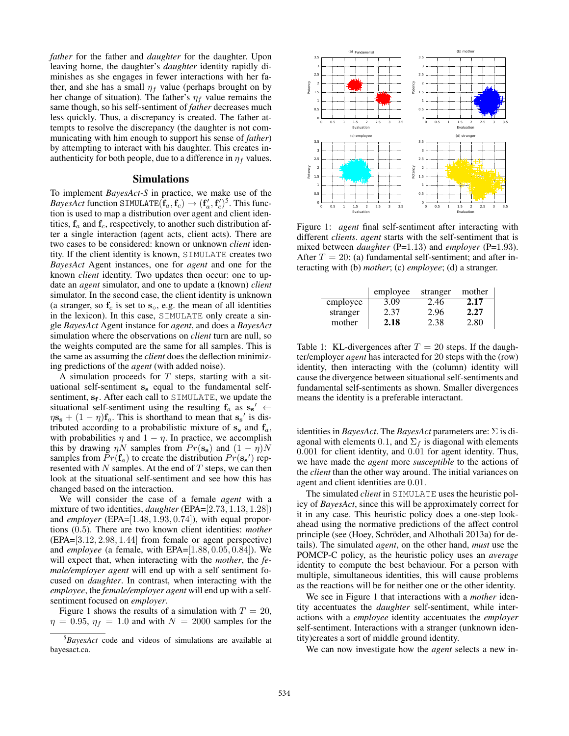*father* for the father and *daughter* for the daughter. Upon leaving home, the daughter's *daughter* identity rapidly diminishes as she engages in fewer interactions with her father, and she has a small  $\eta_f$  value (perhaps brought on by her change of situation). The father's  $\eta_f$  value remains the same though, so his self-sentiment of *father* decreases much less quickly. Thus, a discrepancy is created. The father attempts to resolve the discrepancy (the daughter is not communicating with him enough to support his sense of *father*) by attempting to interact with his daughter. This creates inauthenticity for both people, due to a difference in  $\eta_f$  values.

### Simulations

To implement *BayesAct-S* in practice, we make use of the *BayesAct* function SIMULATE $(f_a, f_c) \rightarrow (f'_a, f'_c)^5$ . This function is used to map a distribution over agent and client identities,  $f_a$  and  $f_c$ , respectively, to another such distribution after a single interaction (agent acts, client acts). There are two cases to be considered: known or unknown *client* identity. If the client identity is known, SIMULATE creates two *BayesAct* Agent instances, one for *agent* and one for the known *client* identity. Two updates then occur: one to update an *agent* simulator, and one to update a (known) *client* simulator. In the second case, the client identity is unknown (a stranger, so  $f_c$  is set to  $s_o$ , e.g. the mean of all identities in the lexicon). In this case, SIMULATE only create a single *BayesAct* Agent instance for *agent*, and does a *BayesAct* simulation where the observations on *client* turn are null, so the weights computed are the same for all samples. This is the same as assuming the *client* does the deflection minimizing predictions of the *agent* (with added noise).

A simulation proceeds for  $T$  steps, starting with a situational self-sentiment  $s_s$  equal to the fundamental selfsentiment, s<sub>f</sub>. After each call to SIMULATE, we update the situational self-sentiment using the resulting  $f_a$  as  $s_s' \leftarrow$  $\eta s_s + (1 - \eta) f_a$ . This is shorthand to mean that  $s_s'$  is distributed according to a probabilistic mixture of  $s_s$  and  $f_a$ , with probabilities  $\eta$  and  $1 - \eta$ . In practice, we accomplish this by drawing  $\eta N$  samples from  $Pr(s_s)$  and  $(1 - \eta)N$ samples from  $Pr(f_a)$  to create the distribution  $Pr(s_{s})$  represented with  $N$  samples. At the end of  $T$  steps, we can then look at the situational self-sentiment and see how this has changed based on the interaction.

We will consider the case of a female *agent* with a mixture of two identities, *daughter* (EPA=[2.73, 1.13, 1.28]) and *employer* (EPA=[1.48, 1.93, 0.74]), with equal proportions (0.5). There are two known client identities: *mother* (EPA=[3.12, 2.98, 1.44] from female or agent perspective) and *employee* (a female, with EPA=[1.88, 0.05, 0.84]). We will expect that, when interacting with the *mother*, the *female/employer agent* will end up with a self sentiment focused on *daughter*. In contrast, when interacting with the *employee*, the *female/employer agent* will end up with a selfsentiment focused on *employer*.

Figure 1 shows the results of a simulation with  $T = 20$ ,  $\eta = 0.95$ ,  $\eta_f = 1.0$  and with  $N = 2000$  samples for the



Figure 1: *agent* final self-sentiment after interacting with different *clients*. *agent* starts with the self-sentiment that is mixed between *daughter* (P=1.13) and *employer* (P=1.93). After  $T = 20$ : (a) fundamental self-sentiment; and after interacting with (b) *mother*; (c) *employee*; (d) a stranger.

|          | employee | stranger | mother |
|----------|----------|----------|--------|
| employee | 3.09     | 2.46     | 2.17   |
| stranger | 2.37     | 2.96     | 2.27   |
| mother   | 2.18     | 2.38     | 2.80   |

Table 1: KL-divergences after  $T = 20$  steps. If the daughter/employer *agent* has interacted for 20 steps with the (row) identity, then interacting with the (column) identity will cause the divergence between situational self-sentiments and fundamental self-sentiments as shown. Smaller divergences means the identity is a preferable interactant.

identities in *BayesAct*. The *BayesAct* parameters are: Σ is diagonal with elements 0.1, and  $\Sigma_f$  is diagonal with elements 0.001 for client identity, and 0.01 for agent identity. Thus, we have made the *agent* more *susceptible* to the actions of the *client* than the other way around. The initial variances on agent and client identities are 0.01.

The simulated *client* in SIMULATE uses the heuristic policy of *BayesAct*, since this will be approximately correct for it in any case. This heuristic policy does a one-step lookahead using the normative predictions of the affect control principle (see (Hoey, Schröder, and Alhothali 2013a) for details). The simulated *agent*, on the other hand, *must* use the POMCP-C policy, as the heuristic policy uses an *average* identity to compute the best behaviour. For a person with multiple, simultaneous identities, this will cause problems as the reactions will be for neither one or the other identity.

We see in Figure 1 that interactions with a *mother* identity accentuates the *daughter* self-sentiment, while interactions with a *employee* identity accentuates the *employer* self-sentiment. Interactions with a stranger (unknown identity)creates a sort of middle ground identity.

We can now investigate how the *agent* selects a new in-

<sup>5</sup>*BayesAct* code and videos of simulations are available at bayesact.ca.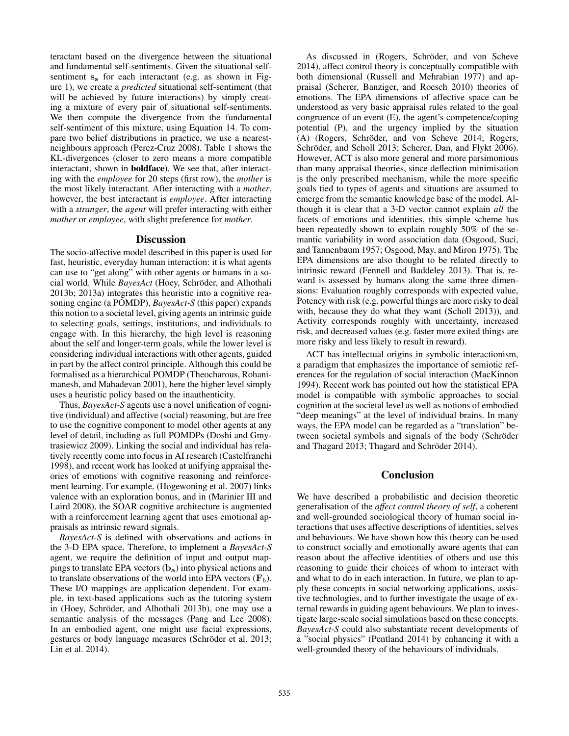teractant based on the divergence between the situational and fundamental self-sentiments. Given the situational selfsentiment  $s_s$  for each interactant (e.g. as shown in Figure 1), we create a *predicted* situational self-sentiment (that will be achieved by future interactions) by simply creating a mixture of every pair of situational self-sentiments. We then compute the divergence from the fundamental self-sentiment of this mixture, using Equation 14. To compare two belief distributions in practice, we use a nearestneighbours approach (Perez-Cruz 2008). Table 1 shows the KL-divergences (closer to zero means a more compatible interactant, shown in boldface). We see that, after interacting with the *employee* for 20 steps (first row), the *mother* is the most likely interactant. After interacting with a *mother*, however, the best interactant is *employee*. After interacting with a *stranger*, the *agent* will prefer interacting with either *mother* or *employee*, with slight preference for *mother*.

### **Discussion**

The socio-affective model described in this paper is used for fast, heuristic, everyday human interaction: it is what agents can use to "get along" with other agents or humans in a social world. While *BayesAct* (Hoey, Schröder, and Alhothali 2013b; 2013a) integrates this heuristic into a cognitive reasoning engine (a POMDP), *BayesAct-S* (this paper) expands this notion to a societal level, giving agents an intrinsic guide to selecting goals, settings, institutions, and individuals to engage with. In this hierarchy, the high level is reasoning about the self and longer-term goals, while the lower level is considering individual interactions with other agents, guided in part by the affect control principle. Although this could be formalised as a hierarchical POMDP (Theocharous, Rohanimanesh, and Mahadevan 2001), here the higher level simply uses a heuristic policy based on the inauthenticity.

Thus, *BayesAct-S* agents use a novel unification of cognitive (individual) and affective (social) reasoning, but are free to use the cognitive component to model other agents at any level of detail, including as full POMDPs (Doshi and Gmytrasiewicz 2009). Linking the social and individual has relatively recently come into focus in AI research (Castelfranchi 1998), and recent work has looked at unifying appraisal theories of emotions with cognitive reasoning and reinforcement learning. For example, (Hogewoning et al. 2007) links valence with an exploration bonus, and in (Marinier III and Laird 2008), the SOAR cognitive architecture is augmented with a reinforcement learning agent that uses emotional appraisals as intrinsic reward signals.

*BayesAct-S* is defined with observations and actions in the 3-D EPA space. Therefore, to implement a *BayesAct-S* agent, we require the definition of input and output mappings to translate EPA vectors  $(b_a)$  into physical actions and to translate observations of the world into EPA vectors  $(\mathbf{F}_b)$ . These I/O mappings are application dependent. For example, in text-based applications such as the tutoring system in (Hoey, Schröder, and Alhothali 2013b), one may use a semantic analysis of the messages (Pang and Lee 2008). In an embodied agent, one might use facial expressions, gestures or body language measures (Schröder et al. 2013; Lin et al. 2014).

As discussed in (Rogers, Schröder, and von Scheve 2014), affect control theory is conceptually compatible with both dimensional (Russell and Mehrabian 1977) and appraisal (Scherer, Banziger, and Roesch 2010) theories of emotions. The EPA dimensions of affective space can be understood as very basic appraisal rules related to the goal congruence of an event (E), the agent's competence/coping potential (P), and the urgency implied by the situation (A) (Rogers, Schröder, and von Scheve 2014; Rogers, Schröder, and Scholl 2013; Scherer, Dan, and Flykt 2006). However, ACT is also more general and more parsimonious than many appraisal theories, since deflection minimisation is the only prescribed mechanism, while the more specific goals tied to types of agents and situations are assumed to emerge from the semantic knowledge base of the model. Although it is clear that a 3-D vector cannot explain *all* the facets of emotions and identities, this simple scheme has been repeatedly shown to explain roughly 50% of the semantic variability in word association data (Osgood, Suci, and Tannenbaum 1957; Osgood, May, and Miron 1975). The EPA dimensions are also thought to be related directly to intrinsic reward (Fennell and Baddeley 2013). That is, reward is assessed by humans along the same three dimensions: Evaluation roughly corresponds with expected value, Potency with risk (e.g. powerful things are more risky to deal with, because they do what they want (Scholl 2013)), and Activity corresponds roughly with uncertainty, increased risk, and decreased values (e.g. faster more exited things are more risky and less likely to result in reward).

ACT has intellectual origins in symbolic interactionism, a paradigm that emphasizes the importance of semiotic references for the regulation of social interaction (MacKinnon 1994). Recent work has pointed out how the statistical EPA model is compatible with symbolic approaches to social cognition at the societal level as well as notions of embodied "deep meanings" at the level of individual brains. In many ways, the EPA model can be regarded as a "translation" between societal symbols and signals of the body (Schröder and Thagard 2013; Thagard and Schröder 2014).

# **Conclusion**

We have described a probabilistic and decision theoretic generalisation of the *affect control theory of self*, a coherent and well-grounded sociological theory of human social interactions that uses affective descriptions of identities, selves and behaviours. We have shown how this theory can be used to construct socially and emotionally aware agents that can reason about the affective identities of others and use this reasoning to guide their choices of whom to interact with and what to do in each interaction. In future, we plan to apply these concepts in social networking applications, assistive technologies, and to further investigate the usage of external rewards in guiding agent behaviours. We plan to investigate large-scale social simulations based on these concepts. *BayesAct-S* could also substantiate recent developments of a "social physics" (Pentland 2014) by enhancing it with a well-grounded theory of the behaviours of individuals.